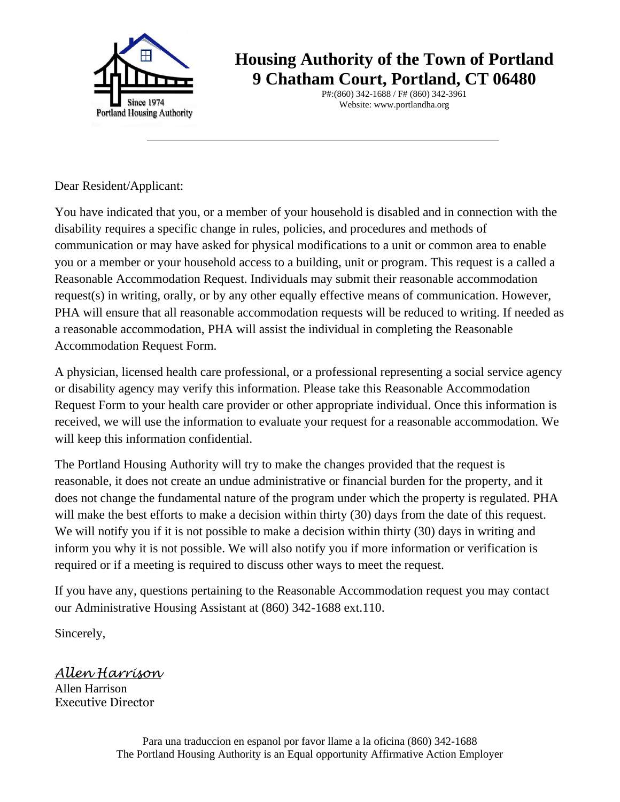

**Housing Authority of the Town of Portland 9 Chatham Court, Portland, CT 06480**

> P#:(860) 342-1688 / F# (860) 342-3961 Website: www.portlandha.org

Dear Resident/Applicant:

You have indicated that you, or a member of your household is disabled and in connection with the disability requires a specific change in rules, policies, and procedures and methods of communication or may have asked for physical modifications to a unit or common area to enable you or a member or your household access to a building, unit or program. This request is a called a Reasonable Accommodation Request. Individuals may submit their reasonable accommodation request(s) in writing, orally, or by any other equally effective means of communication. However, PHA will ensure that all reasonable accommodation requests will be reduced to writing. If needed as a reasonable accommodation, PHA will assist the individual in completing the Reasonable Accommodation Request Form.

A physician, licensed health care professional, or a professional representing a social service agency or disability agency may verify this information. Please take this Reasonable Accommodation Request Form to your health care provider or other appropriate individual. Once this information is received, we will use the information to evaluate your request for a reasonable accommodation. We will keep this information confidential.

The Portland Housing Authority will try to make the changes provided that the request is reasonable, it does not create an undue administrative or financial burden for the property, and it does not change the fundamental nature of the program under which the property is regulated. PHA will make the best efforts to make a decision within thirty (30) days from the date of this request. We will notify you if it is not possible to make a decision within thirty (30) days in writing and inform you why it is not possible. We will also notify you if more information or verification is required or if a meeting is required to discuss other ways to meet the request.

If you have any, questions pertaining to the Reasonable Accommodation request you may contact our Administrative Housing Assistant at (860) 342-1688 ext.110.

Sincerely,

*Allen Harrison*

Allen Harrison Executive Director

> Para una traduccion en espanol por favor llame a la oficina (860) 342-1688 The Portland Housing Authority is an Equal opportunity Affirmative Action Employer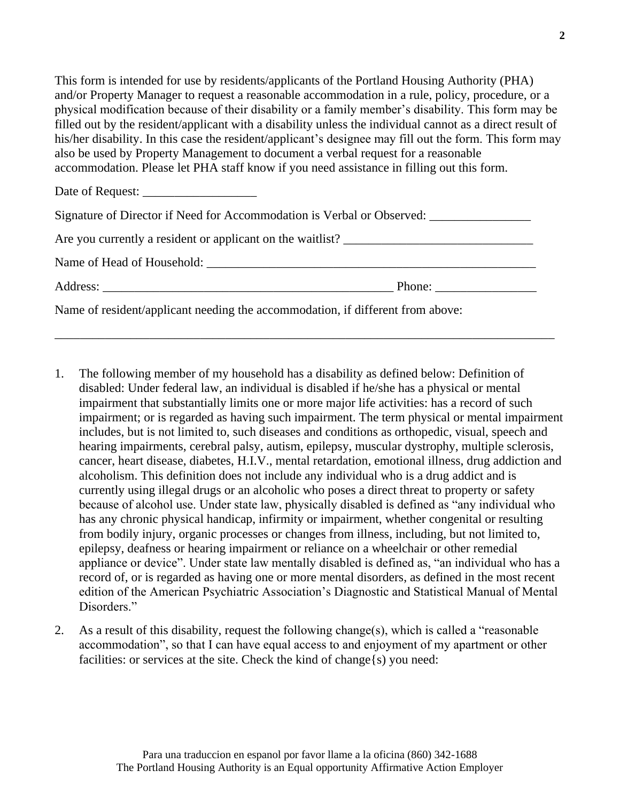This form is intended for use by residents/applicants of the Portland Housing Authority (PHA) and/or Property Manager to request a reasonable accommodation in a rule, policy, procedure, or a physical modification because of their disability or a family member's disability. This form may be filled out by the resident/applicant with a disability unless the individual cannot as a direct result of his/her disability. In this case the resident/applicant's designee may fill out the form. This form may also be used by Property Management to document a verbal request for a reasonable accommodation. Please let PHA staff know if you need assistance in filling out this form.

| Signature of Director if Need for Accommodation is Verbal or Observed:         |  |
|--------------------------------------------------------------------------------|--|
|                                                                                |  |
|                                                                                |  |
|                                                                                |  |
| Name of resident/applicant needing the accommodation, if different from above: |  |

\_\_\_\_\_\_\_\_\_\_\_\_\_\_\_\_\_\_\_\_\_\_\_\_\_\_\_\_\_\_\_\_\_\_\_\_\_\_\_\_\_\_\_\_\_\_\_\_\_\_\_\_\_\_\_\_\_\_\_\_\_\_\_\_\_\_\_\_\_\_\_\_\_\_\_\_\_\_\_

- 1. The following member of my household has a disability as defined below: Definition of disabled: Under federal law, an individual is disabled if he/she has a physical or mental impairment that substantially limits one or more major life activities: has a record of such impairment; or is regarded as having such impairment. The term physical or mental impairment includes, but is not limited to, such diseases and conditions as orthopedic, visual, speech and hearing impairments, cerebral palsy, autism, epilepsy, muscular dystrophy, multiple sclerosis, cancer, heart disease, diabetes, H.I.V., mental retardation, emotional illness, drug addiction and alcoholism. This definition does not include any individual who is a drug addict and is currently using illegal drugs or an alcoholic who poses a direct threat to property or safety because of alcohol use. Under state law, physically disabled is defined as "any individual who has any chronic physical handicap, infirmity or impairment, whether congenital or resulting from bodily injury, organic processes or changes from illness, including, but not limited to, epilepsy, deafness or hearing impairment or reliance on a wheelchair or other remedial appliance or device". Under state law mentally disabled is defined as, "an individual who has a record of, or is regarded as having one or more mental disorders, as defined in the most recent edition of the American Psychiatric Association's Diagnostic and Statistical Manual of Mental Disorders."
- 2. As a result of this disability, request the following change(s), which is called a "reasonable accommodation", so that I can have equal access to and enjoyment of my apartment or other facilities: or services at the site. Check the kind of change {s} you need: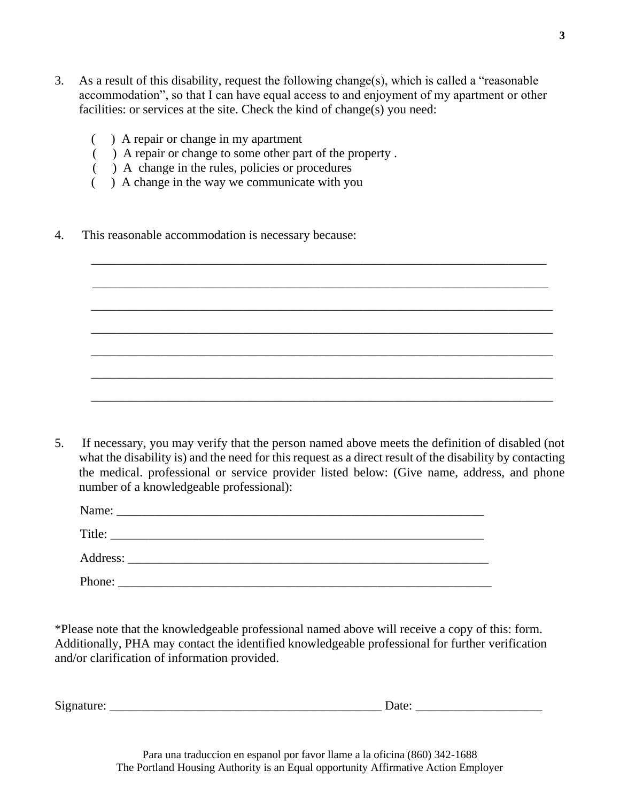3. As a result of this disability, request the following change(s), which is called a "reasonable accommodation", so that I can have equal access to and enjoyment of my apartment or other facilities: or services at the site. Check the kind of change(s) you need:

\_\_\_\_\_\_\_\_\_\_\_\_\_\_\_\_\_\_\_\_\_\_\_\_\_\_\_\_\_\_\_\_\_\_\_\_\_\_\_\_\_\_\_\_\_\_\_\_\_\_\_\_\_\_\_\_\_\_\_\_\_\_\_\_\_\_\_\_\_\_\_\_

\_\_\_\_\_\_\_\_\_\_\_\_\_\_\_\_\_\_\_\_\_\_\_\_\_\_\_\_\_\_\_\_\_\_\_\_\_\_\_\_\_\_\_\_\_\_\_\_\_\_\_\_\_\_\_\_\_\_\_\_\_\_\_\_\_\_\_\_\_\_\_\_\_

\_\_\_\_\_\_\_\_\_\_\_\_\_\_\_\_\_\_\_\_\_\_\_\_\_\_\_\_\_\_\_\_\_\_\_\_\_\_\_\_\_\_\_\_\_\_\_\_\_\_\_\_\_\_\_\_\_\_\_\_\_\_\_\_\_\_\_\_\_\_\_\_\_

\_\_\_\_\_\_\_\_\_\_\_\_\_\_\_\_\_\_\_\_\_\_\_\_\_\_\_\_\_\_\_\_\_\_\_\_\_\_\_\_\_\_\_\_\_\_\_\_\_\_\_\_\_\_\_\_\_\_\_\_\_\_\_\_\_\_\_\_\_\_\_\_\_

\_\_\_\_\_\_\_\_\_\_\_\_\_\_\_\_\_\_\_\_\_\_\_\_\_\_\_\_\_\_\_\_\_\_\_\_\_\_\_\_\_\_\_\_\_\_\_\_\_\_\_\_\_\_\_\_\_\_\_\_\_\_\_\_\_\_\_\_\_\_\_\_\_

\_\_\_\_\_\_\_\_\_\_\_\_\_\_\_\_\_\_\_\_\_\_\_\_\_\_\_\_\_\_\_\_\_\_\_\_\_\_\_\_\_\_\_\_\_\_\_\_\_\_\_\_\_\_\_\_\_\_\_\_\_\_\_\_\_\_\_\_\_\_\_\_\_

\_\_\_\_\_\_\_\_\_\_\_\_\_\_\_\_\_\_\_\_\_\_\_\_\_\_\_\_\_\_\_\_\_\_\_\_\_\_\_\_\_\_\_\_\_\_\_\_\_\_\_\_\_\_\_\_\_\_\_\_\_\_\_\_\_\_\_\_\_\_\_\_

- ( ) A repair or change in my apartment
- ( ) A repair or change to some other part of the property .
- $($   $)$  A change in the rules, policies or procedures
- ( ) A change in the way we communicate with you
- 4. This reasonable accommodation is necessary because:

5. If necessary, you may verify that the person named above meets the definition of disabled (not what the disability is) and the need for this request as a direct result of the disability by contacting the medical. professional or service provider listed below: (Give name, address, and phone number of a knowledgeable professional):

| Name:  | <u> 1989 - Johann Stoff, deutscher Stoff, der Stoff, der Stoff, der Stoff, der Stoff, der Stoff, der Stoff, der S</u>                                                                                                                |  |  |  |
|--------|--------------------------------------------------------------------------------------------------------------------------------------------------------------------------------------------------------------------------------------|--|--|--|
| Title: | <u>and the contract of the contract of the contract of the contract of the contract of the contract of the contract of the contract of the contract of the contract of the contract of the contract of the contract of the contr</u> |  |  |  |
|        |                                                                                                                                                                                                                                      |  |  |  |
| Phone: |                                                                                                                                                                                                                                      |  |  |  |

\*Please note that the knowledgeable professional named above will receive a copy of this: form. Additionally, PHA may contact the identified knowledgeable professional for further verification and/or clarification of information provided.

 $Signature:$   $Date:$ 

**3**

Para una traduccion en espanol por favor llame a la oficina (860) 342-1688 The Portland Housing Authority is an Equal opportunity Affirmative Action Employer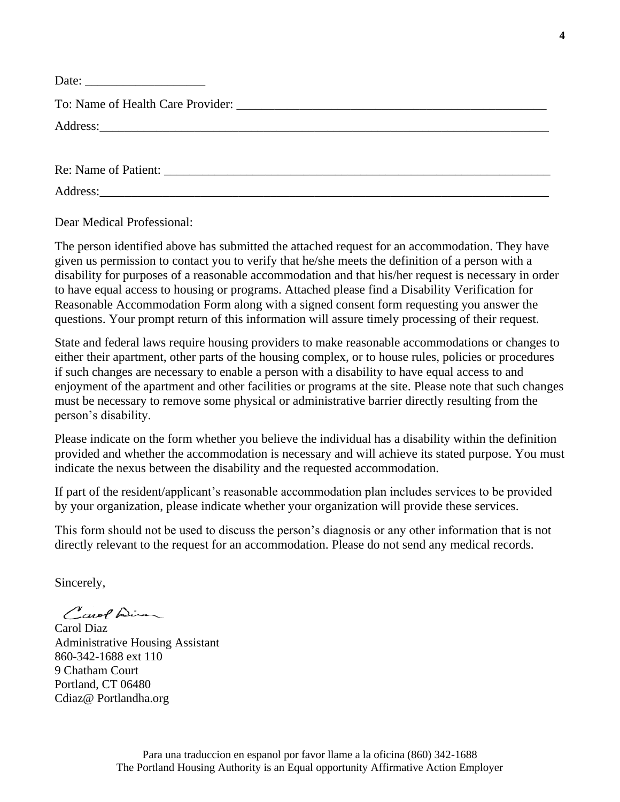| $\cdots$ |  |  |
|----------|--|--|
|----------|--|--|

To: Name of Health Care Provider: \_\_\_\_\_\_\_\_\_\_\_\_\_\_\_\_\_\_\_\_\_\_\_\_\_\_\_\_\_\_\_\_\_\_\_\_\_\_\_\_\_\_\_\_\_\_\_\_\_

Address:

Re: Name of Patient:

Address:\_\_\_\_\_\_\_\_\_\_\_\_\_\_\_\_\_\_\_\_\_\_\_\_\_\_\_\_\_\_\_\_\_\_\_\_\_\_\_\_\_\_\_\_\_\_\_\_\_\_\_\_\_\_\_\_\_\_\_\_\_\_\_\_\_\_\_\_\_\_\_

Dear Medical Professional:

The person identified above has submitted the attached request for an accommodation. They have given us permission to contact you to verify that he/she meets the definition of a person with a disability for purposes of a reasonable accommodation and that his/her request is necessary in order to have equal access to housing or programs. Attached please find a Disability Verification for Reasonable Accommodation Form along with a signed consent form requesting you answer the questions. Your prompt return of this information will assure timely processing of their request.

State and federal laws require housing providers to make reasonable accommodations or changes to either their apartment, other parts of the housing complex, or to house rules, policies or procedures if such changes are necessary to enable a person with a disability to have equal access to and enjoyment of the apartment and other facilities or programs at the site. Please note that such changes must be necessary to remove some physical or administrative barrier directly resulting from the person's disability.

Please indicate on the form whether you believe the individual has a disability within the definition provided and whether the accommodation is necessary and will achieve its stated purpose. You must indicate the nexus between the disability and the requested accommodation.

If part of the resident/applicant's reasonable accommodation plan includes services to be provided by your organization, please indicate whether your organization will provide these services.

This form should not be used to discuss the person's diagnosis or any other information that is not directly relevant to the request for an accommodation. Please do not send any medical records.

Sincerely,

Carol Dim

Carol Diaz Administrative Housing Assistant 860-342-1688 ext 110 9 Chatham Court Portland, CT 06480 Cdiaz@ Portlandha.org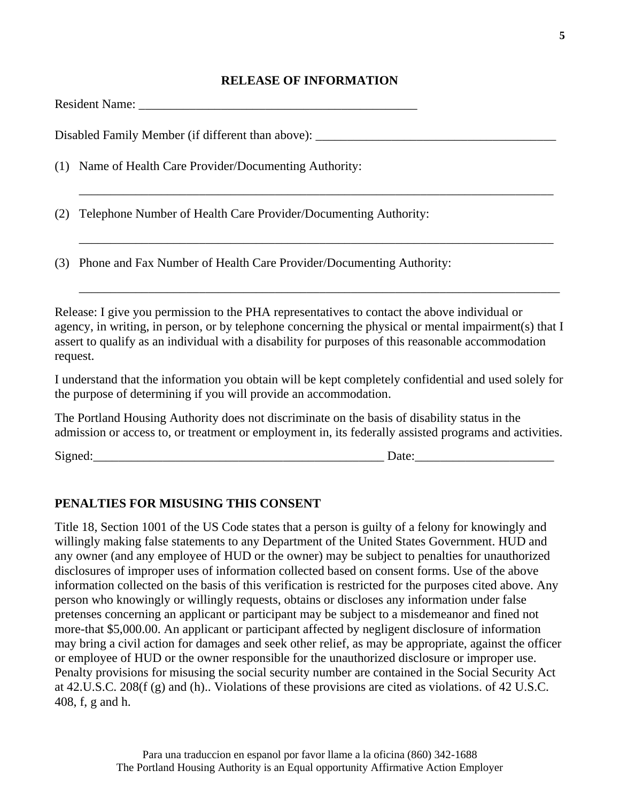## **RELEASE OF INFORMATION**

|     | Disabled Family Member (if different than above): ______________________________                                                                                                                                                                                                                                        |
|-----|-------------------------------------------------------------------------------------------------------------------------------------------------------------------------------------------------------------------------------------------------------------------------------------------------------------------------|
|     | (1) Name of Health Care Provider/Documenting Authority:                                                                                                                                                                                                                                                                 |
| (2) | Telephone Number of Health Care Provider/Documenting Authority:                                                                                                                                                                                                                                                         |
|     | (3) Phone and Fax Number of Health Care Provider/Documenting Authority:                                                                                                                                                                                                                                                 |
|     | Release: I give you permission to the PHA representatives to contact the above individual or<br>agency, in writing, in person, or by telephone concerning the physical or mental impairment(s) that I<br>assert to qualify as an individual with a disability for purposes of this reasonable accommodation<br>request. |
|     | I understand that the information you obtain will be kept completely confidential and used solely for<br>the purpose of determining if you will provide an accommodation.                                                                                                                                               |
|     | The Portland Housing Authority does not discriminate on the basis of disability status in the<br>admission or access to, or treatment or employment in, its federally assisted programs and activities.                                                                                                                 |
|     | Signed: $\qquad \qquad$<br>Date:                                                                                                                                                                                                                                                                                        |
|     |                                                                                                                                                                                                                                                                                                                         |

## **PENALTIES FOR MISUSING THIS CONSENT**

Title 18, Section 1001 of the US Code states that a person is guilty of a felony for knowingly and willingly making false statements to any Department of the United States Government. HUD and any owner (and any employee of HUD or the owner) may be subject to penalties for unauthorized disclosures of improper uses of information collected based on consent forms. Use of the above information collected on the basis of this verification is restricted for the purposes cited above. Any person who knowingly or willingly requests, obtains or discloses any information under false pretenses concerning an applicant or participant may be subject to a misdemeanor and fined not more-that \$5,000.00. An applicant or participant affected by negligent disclosure of information may bring a civil action for damages and seek other relief, as may be appropriate, against the officer or employee of HUD or the owner responsible for the unauthorized disclosure or improper use. Penalty provisions for misusing the social security number are contained in the Social Security Act at 42.U.S.C. 208(f (g) and (h).. Violations of these provisions are cited as violations. of 42 U.S.C. 408, f, g and h.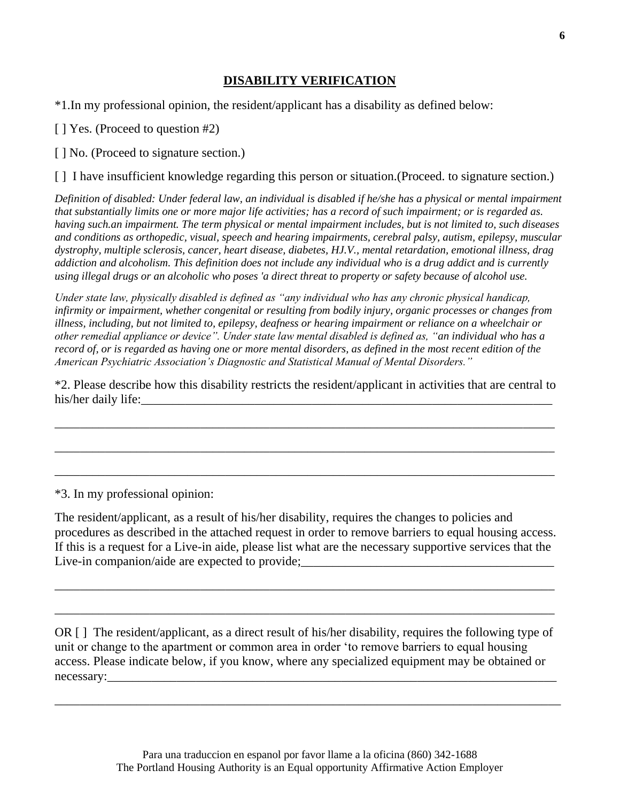## **DISABILITY VERIFICATION**

\*1.In my professional opinion, the resident/applicant has a disability as defined below:

[ ] Yes. (Proceed to question #2)

[ ] No. (Proceed to signature section.)

[ ] I have insufficient knowledge regarding this person or situation. (Proceed. to signature section.)

*Definition of disabled: Under federal law, an individual is disabled if he/she has a physical or mental impairment that substantially limits one or more major life activities; has a record of such impairment; or is regarded as. having such.an impairment. The term physical or mental impairment includes, but is not limited to, such diseases and conditions as orthopedic, visual, speech and hearing impairments, cerebral palsy, autism, epilepsy, muscular dystrophy, multiple sclerosis, cancer, heart disease, diabetes, HJ.V., mental retardation, emotional illness, drag addiction and alcoholism. This definition does not include any individual who is a drug addict and is currently using illegal drugs or an alcoholic who poses 'a direct threat to property or safety because of alcohol use.*

*Under state law, physically disabled is defined as "any individual who has any chronic physical handicap, infirmity or impairment, whether congenital or resulting from bodily injury, organic processes or changes from illness, including, but not limited to, epilepsy, deafness or hearing impairment or reliance on a wheelchair or other remedial appliance or device". Under state law mental disabled is defined as, "an individual who has a record of, or is regarded as having one or more mental disorders, as defined in the most recent edition of the American Psychiatric Association's Diagnostic and Statistical Manual of Mental Disorders."*

\*2. Please describe how this disability restricts the resident/applicant in activities that are central to his/her daily life:

\_\_\_\_\_\_\_\_\_\_\_\_\_\_\_\_\_\_\_\_\_\_\_\_\_\_\_\_\_\_\_\_\_\_\_\_\_\_\_\_\_\_\_\_\_\_\_\_\_\_\_\_\_\_\_\_\_\_\_\_\_\_\_\_\_\_\_\_\_\_\_\_\_\_\_\_\_\_\_

\_\_\_\_\_\_\_\_\_\_\_\_\_\_\_\_\_\_\_\_\_\_\_\_\_\_\_\_\_\_\_\_\_\_\_\_\_\_\_\_\_\_\_\_\_\_\_\_\_\_\_\_\_\_\_\_\_\_\_\_\_\_\_\_\_\_\_\_\_\_\_\_\_\_\_\_\_\_\_

\_\_\_\_\_\_\_\_\_\_\_\_\_\_\_\_\_\_\_\_\_\_\_\_\_\_\_\_\_\_\_\_\_\_\_\_\_\_\_\_\_\_\_\_\_\_\_\_\_\_\_\_\_\_\_\_\_\_\_\_\_\_\_\_\_\_\_\_\_\_\_\_\_\_\_\_\_\_\_

\*3. In my professional opinion:

The resident/applicant, as a result of his/her disability, requires the changes to policies and procedures as described in the attached request in order to remove barriers to equal housing access. If this is a request for a Live-in aide, please list what are the necessary supportive services that the Live-in companion/aide are expected to provide;

\_\_\_\_\_\_\_\_\_\_\_\_\_\_\_\_\_\_\_\_\_\_\_\_\_\_\_\_\_\_\_\_\_\_\_\_\_\_\_\_\_\_\_\_\_\_\_\_\_\_\_\_\_\_\_\_\_\_\_\_\_\_\_\_\_\_\_\_\_\_\_\_\_\_\_\_\_\_\_

\_\_\_\_\_\_\_\_\_\_\_\_\_\_\_\_\_\_\_\_\_\_\_\_\_\_\_\_\_\_\_\_\_\_\_\_\_\_\_\_\_\_\_\_\_\_\_\_\_\_\_\_\_\_\_\_\_\_\_\_\_\_\_\_\_\_\_\_\_\_\_\_\_\_\_\_\_\_\_

OR [ ] The resident/applicant, as a direct result of his/her disability, requires the following type of unit or change to the apartment or common area in order 'to remove barriers to equal housing access. Please indicate below, if you know, where any specialized equipment may be obtained or necessary:

\_\_\_\_\_\_\_\_\_\_\_\_\_\_\_\_\_\_\_\_\_\_\_\_\_\_\_\_\_\_\_\_\_\_\_\_\_\_\_\_\_\_\_\_\_\_\_\_\_\_\_\_\_\_\_\_\_\_\_\_\_\_\_\_\_\_\_\_\_\_\_\_\_\_\_\_\_\_\_\_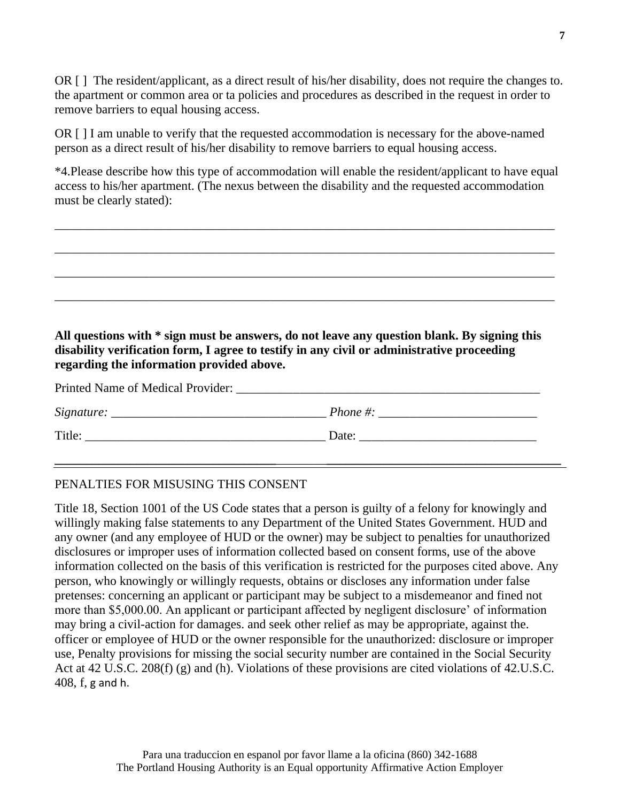OR [ ] The resident/applicant, as a direct result of his/her disability, does not require the changes to. the apartment or common area or ta policies and procedures as described in the request in order to remove barriers to equal housing access.

OR [ ] I am unable to verify that the requested accommodation is necessary for the above-named person as a direct result of his/her disability to remove barriers to equal housing access.

\*4.Please describe how this type of accommodation will enable the resident/applicant to have equal access to his/her apartment. (The nexus between the disability and the requested accommodation must be clearly stated):

\_\_\_\_\_\_\_\_\_\_\_\_\_\_\_\_\_\_\_\_\_\_\_\_\_\_\_\_\_\_\_\_\_\_\_\_\_\_\_\_\_\_\_\_\_\_\_\_\_\_\_\_\_\_\_\_\_\_\_\_\_\_\_\_\_\_\_\_\_\_\_\_\_\_\_\_\_\_\_

\_\_\_\_\_\_\_\_\_\_\_\_\_\_\_\_\_\_\_\_\_\_\_\_\_\_\_\_\_\_\_\_\_\_\_\_\_\_\_\_\_\_\_\_\_\_\_\_\_\_\_\_\_\_\_\_\_\_\_\_\_\_\_\_\_\_\_\_\_\_\_\_\_\_\_\_\_\_\_

\_\_\_\_\_\_\_\_\_\_\_\_\_\_\_\_\_\_\_\_\_\_\_\_\_\_\_\_\_\_\_\_\_\_\_\_\_\_\_\_\_\_\_\_\_\_\_\_\_\_\_\_\_\_\_\_\_\_\_\_\_\_\_\_\_\_\_\_\_\_\_\_\_\_\_\_\_\_\_

\_\_\_\_\_\_\_\_\_\_\_\_\_\_\_\_\_\_\_\_\_\_\_\_\_\_\_\_\_\_\_\_\_\_\_\_\_\_\_\_\_\_\_\_\_\_\_\_\_\_\_\_\_\_\_\_\_\_\_\_\_\_\_\_\_\_\_\_\_\_\_\_\_\_\_\_\_\_\_

# **All questions with \* sign must be answers, do not leave any question blank. By signing this disability verification form, I agree to testify in any civil or administrative proceeding regarding the information provided above.**

| Printed Name of Medical Provider: |       |  |
|-----------------------------------|-------|--|
|                                   |       |  |
| Title:                            | Date: |  |
|                                   |       |  |

## PENALTIES FOR MISUSING THIS CONSENT

Title 18, Section 1001 of the US Code states that a person is guilty of a felony for knowingly and willingly making false statements to any Department of the United States Government. HUD and any owner (and any employee of HUD or the owner) may be subject to penalties for unauthorized disclosures or improper uses of information collected based on consent forms, use of the above information collected on the basis of this verification is restricted for the purposes cited above. Any person, who knowingly or willingly requests, obtains or discloses any information under false pretenses: concerning an applicant or participant may be subject to a misdemeanor and fined not more than \$5,000.00. An applicant or participant affected by negligent disclosure' of information may bring a civil-action for damages. and seek other relief as may be appropriate, against the. officer or employee of HUD or the owner responsible for the unauthorized: disclosure or improper use, Penalty provisions for missing the social security number are contained in the Social Security Act at 42 U.S.C. 208(f) (g) and (h). Violations of these provisions are cited violations of 42.U.S.C. 408, f, g and h.